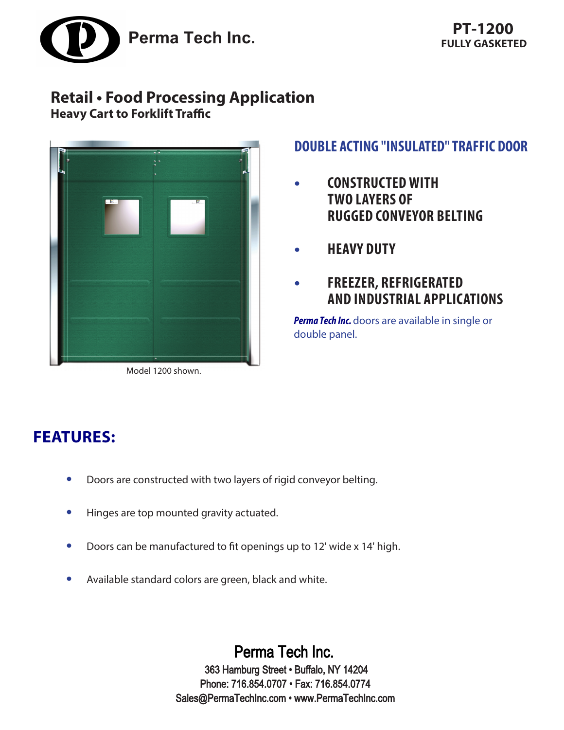

# **Retail • Food Processing Application**

**Heavy Cart to Forklift Traffic**



Model 1200 shown.

## **DOUBLE ACTING "INSULATED" TRAFFIC DOOR**

- **• CONSTRUCTED WITH TWO LAYERS OF RUGGED CONVEYOR BELTING**
- **• HEAVY DUTY**
- **• FREEZER, REFRIGERATED AND INDUSTRIAL APPLICATIONS**

**Perma Tech Inc.** doors are available in single or double panel.

# **FEATURES:**

- **•** Doors are constructed with two layers of rigid conveyor belting.
- **•** Hinges are top mounted gravity actuated.
- **•** Doors can be manufactured to fit openings up to 12' wide x 14' high.
- **•** Available standard colors are green, black and white.

Perma Tech Inc. 363 Hamburg Street • Buffalo, NY 14204 Phone: 716.854.0707 • Fax: 716.854.0774 Sales@PermaTechInc.com • www.PermaTechInc.com